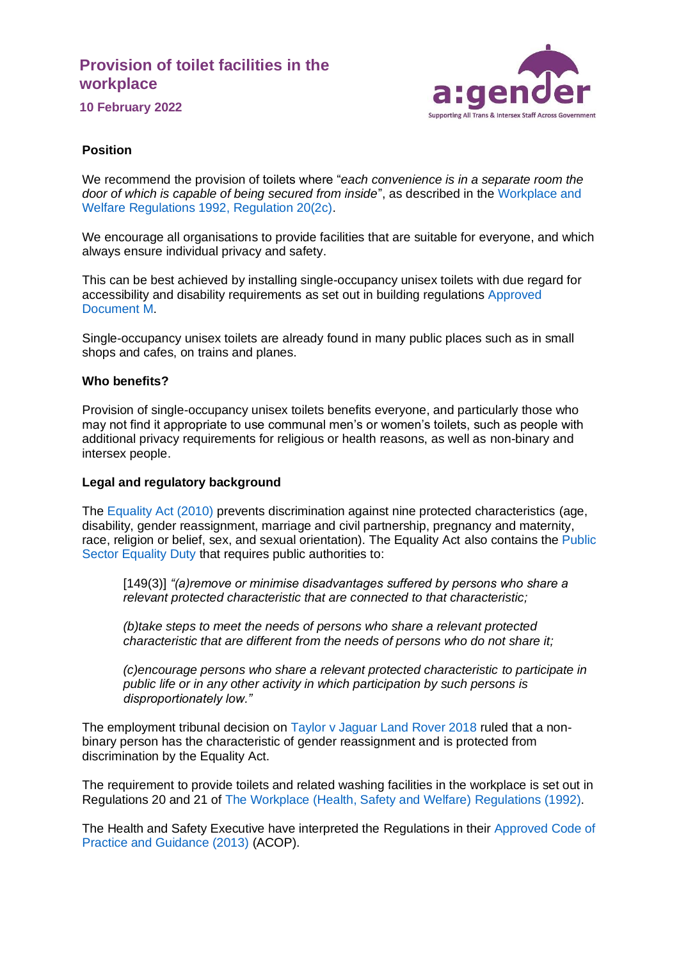# **Provision of toilet facilities in the workplace**



**10 February 2022**

### **Position**

We recommend the provision of toilets where "*each convenience is in a separate room the door of which is capable of being secured from inside*", as described in the [Workplace and](https://www.legislation.gov.uk/uksi/1992/3004/contents/made)  [Welfare Regulations 1992, Regulation 20\(2c\).](https://www.legislation.gov.uk/uksi/1992/3004/contents/made)

We encourage all organisations to provide facilities that are suitable for everyone, and which always ensure individual privacy and safety.

This can be best achieved by installing single-occupancy unisex toilets with due regard for accessibility and disability requirements as set out in building regulations [Approved](https://www.gov.uk/government/publications/access-to-and-use-of-buildings-approved-document-m)  [Document M.](https://www.gov.uk/government/publications/access-to-and-use-of-buildings-approved-document-m)

Single-occupancy unisex toilets are already found in many public places such as in small shops and cafes, on trains and planes.

### **Who benefits?**

Provision of single-occupancy unisex toilets benefits everyone, and particularly those who may not find it appropriate to use communal men's or women's toilets, such as people with additional privacy requirements for religious or health reasons, as well as non-binary and intersex people.

#### **Legal and regulatory background**

The [Equality Act \(2010\)](https://www.legislation.gov.uk/ukpga/2010/15/contents) prevents discrimination against nine protected characteristics (age, disability, gender reassignment, marriage and civil partnership, pregnancy and maternity, race, religion or belief, sex, and sexual orientation). The Equality Act also contains the [Public](https://www.legislation.gov.uk/ukpga/2010/15/section/149)  [Sector Equality Duty](https://www.legislation.gov.uk/ukpga/2010/15/section/149) that requires public authorities to:

[149(3)] *"(a)remove or minimise disadvantages suffered by persons who share a relevant protected characteristic that are connected to that characteristic;*

*(b)take steps to meet the needs of persons who share a relevant protected characteristic that are different from the needs of persons who do not share it;*

*(c)encourage persons who share a relevant protected characteristic to participate in public life or in any other activity in which participation by such persons is disproportionately low."*

The employment tribunal decision on [Taylor v Jaguar Land Rover 2018](https://www.gov.uk/employment-tribunal-decisions/ms-r-taylor-v-jaguar-land-rover-ltd-1304471-2018) ruled that a nonbinary person has the characteristic of gender reassignment and is protected from discrimination by the Equality Act.

The requirement to provide toilets and related washing facilities in the workplace is set out in Regulations 20 and 21 of [The Workplace \(Health, Safety and Welfare\) Regulations \(1992\).](https://www.legislation.gov.uk/uksi/1992/3004/contents/made)

The Health and Safety Executive have interpreted the Regulations in their [Approved Code of](https://www.hse.gov.uk/pubns/priced/l24.pdf)  [Practice and Guidance \(2013\)](https://www.hse.gov.uk/pubns/priced/l24.pdf) (ACOP).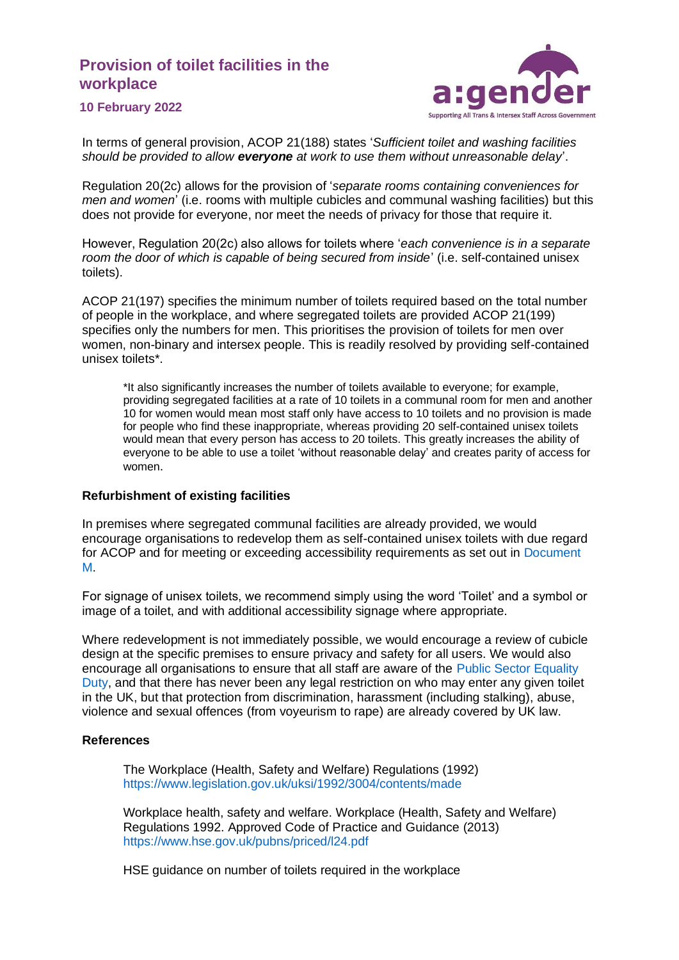### **Provision of toilet facilities in the workplace**



**10 February 2022**

In terms of general provision, ACOP 21(188) states '*Sufficient toilet and washing facilities should be provided to allow everyone at work to use them without unreasonable delay*'.

Regulation 20(2c) allows for the provision of '*separate rooms containing conveniences for men and women*' (i.e. rooms with multiple cubicles and communal washing facilities) but this does not provide for everyone, nor meet the needs of privacy for those that require it.

However, Regulation 20(2c) also allows for toilets where '*each convenience is in a separate room the door of which is capable of being secured from inside*' (i.e. self-contained unisex toilets).

ACOP 21(197) specifies the minimum number of toilets required based on the total number of people in the workplace, and where segregated toilets are provided ACOP 21(199) specifies only the numbers for men. This prioritises the provision of toilets for men over women, non-binary and intersex people. This is readily resolved by providing self-contained unisex toilets\*.

\*It also significantly increases the number of toilets available to everyone; for example, providing segregated facilities at a rate of 10 toilets in a communal room for men and another 10 for women would mean most staff only have access to 10 toilets and no provision is made for people who find these inappropriate, whereas providing 20 self-contained unisex toilets would mean that every person has access to 20 toilets. This greatly increases the ability of everyone to be able to use a toilet 'without reasonable delay' and creates parity of access for women.

#### **Refurbishment of existing facilities**

In premises where segregated communal facilities are already provided, we would encourage organisations to redevelop them as self-contained unisex toilets with due regard for ACOP and for meeting or exceeding accessibility requirements as set out in [Document](https://www.gov.uk/government/publications/access-to-and-use-of-buildings-approved-document-m)  [M.](https://www.gov.uk/government/publications/access-to-and-use-of-buildings-approved-document-m)

For signage of unisex toilets, we recommend simply using the word 'Toilet' and a symbol or image of a toilet, and with additional accessibility signage where appropriate.

Where redevelopment is not immediately possible, we would encourage a review of cubicle design at the specific premises to ensure privacy and safety for all users. We would also encourage all organisations to ensure that all staff are aware of the [Public Sector Equality](https://www.legislation.gov.uk/ukpga/2010/15/section/149)  [Duty,](https://www.legislation.gov.uk/ukpga/2010/15/section/149) and that there has never been any legal restriction on who may enter any given toilet in the UK, but that protection from discrimination, harassment (including stalking), abuse, violence and sexual offences (from voyeurism to rape) are already covered by UK law.

#### **References**

The Workplace (Health, Safety and Welfare) Regulations (1992) <https://www.legislation.gov.uk/uksi/1992/3004/contents/made>

Workplace health, safety and welfare. Workplace (Health, Safety and Welfare) Regulations 1992. Approved Code of Practice and Guidance (2013) <https://www.hse.gov.uk/pubns/priced/l24.pdf>

HSE guidance on number of toilets required in the workplace